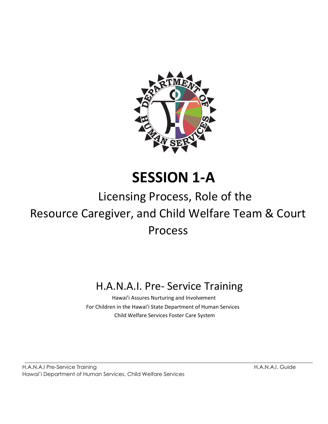

# **SESSION 1-A**

# Licensing Process, Role of the Resource Caregiver, and Child Welfare Team & Court Process

### H.A.N.A.I. Pre- Service Training

 Hawai'i Assures Nurturing and Involvement For Children in the Hawai'i State Department of Human Services Child Welfare Services Foster Care System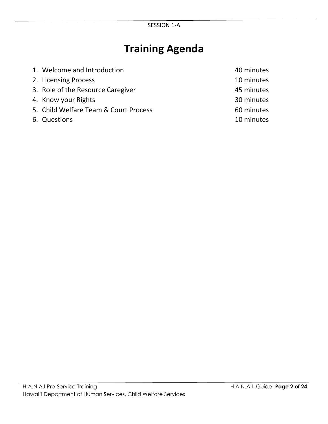### **Training Agenda**

| 1. Welcome and Introduction           | 40 minutes |
|---------------------------------------|------------|
| 2. Licensing Process                  | 10 minutes |
| 3. Role of the Resource Caregiver     | 45 minutes |
| 4. Know your Rights                   | 30 minutes |
| 5. Child Welfare Team & Court Process | 60 minutes |
| 6. Questions                          | 10 minutes |
|                                       |            |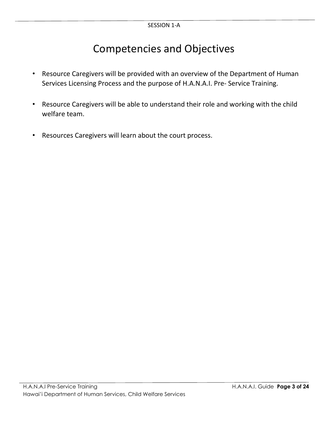### Competencies and Objectives

- Resource Caregivers will be provided with an overview of the Department of Human Services Licensing Process and the purpose of H.A.N.A.I. Pre- Service Training.
- Resource Caregivers will be able to understand their role and working with the child welfare team.
- Resources Caregivers will learn about the court process.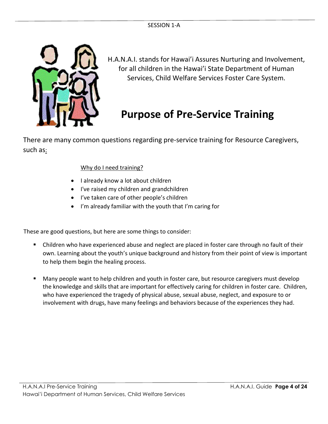

H.A.N.A.I. stands for Hawai'i Assures Nurturing and Involvement, for all children in the Hawai'i State Department of Human Services, Child Welfare Services Foster Care System.

## **Purpose of Pre-Service Training**

There are many common questions regarding pre-service training for Resource Caregivers, such as:

#### Why do I need training?

- I already know a lot about children
- I've raised my children and grandchildren
- I've taken care of other people's children
- I'm already familiar with the youth that I'm caring for

These are good questions, but here are some things to consider:

- Children who have experienced abuse and neglect are placed in foster care through no fault of their own. Learning about the youth's unique background and history from their point of view is important to help them begin the healing process.
- Many people want to help children and youth in foster care, but resource caregivers must develop the knowledge and skills that are important for effectively caring for children in foster care. Children, who have experienced the tragedy of physical abuse, sexual abuse, neglect, and exposure to or involvement with drugs, have many feelings and behaviors because of the experiences they had.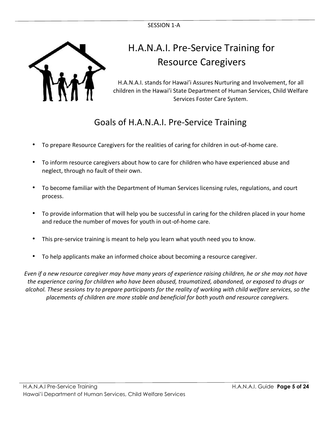

### H.A.N.A.I. Pre-Service Training for Resource Caregivers

H.A.N.A.I. stands for Hawai'i Assures Nurturing and Involvement, for all children in the Hawai'i State Department of Human Services, Child Welfare Services Foster Care System.

### Goals of H.A.N.A.I. Pre-Service Training

- To prepare Resource Caregivers for the realities of caring for children in out-of-home care.
- To inform resource caregivers about how to care for children who have experienced abuse and neglect, through no fault of their own.
- To become familiar with the Department of Human Services licensing rules, regulations, and court process.
- To provide information that will help you be successful in caring for the children placed in your home and reduce the number of moves for youth in out-of-home care.
- This pre-service training is meant to help you learn what youth need you to know.
- To help applicants make an informed choice about becoming a resource caregiver.

*Even if a new resource caregiver may have many years of experience raising children, he or she may not have the experience caring for children who have been abused, traumatized, abandoned, or exposed to drugs or alcohol. These sessions try to prepare participants for the reality of working with child welfare services, so the placements of children are more stable and beneficial for both youth and resource caregivers.*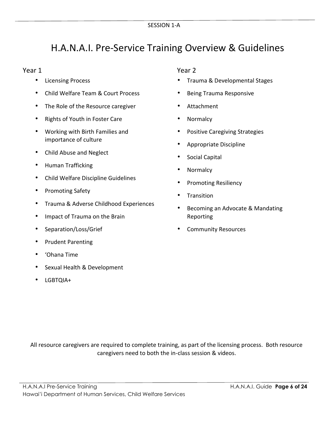#### SESSION 1-A

### H.A.N.A.I. Pre-Service Training Overview & Guidelines

#### Year 1 Year 2

- Licensing Process
- Child Welfare Team & Court Process
- The Role of the Resource caregiver
- Rights of Youth in Foster Care
- Working with Birth Families and importance of culture
- Child Abuse and Neglect
- Human Trafficking
- Child Welfare Discipline Guidelines
- Promoting Safety
- Trauma & Adverse Childhood Experiences
- Impact of Trauma on the Brain
- Separation/Loss/Grief
- Prudent Parenting
- 'Ohana Time
- Sexual Health & Development
- LGBTQIA+

- Trauma & Developmental Stages
- Being Trauma Responsive
- Attachment
- **Normalcy**
- Positive Caregiving Strategies
- Appropriate Discipline
- Social Capital
- Normalcy
- Promoting Resiliency
- Transition
- Becoming an Advocate & Mandating Reporting
- Community Resources

All resource caregivers are required to complete training, as part of the licensing process. Both resource caregivers need to both the in-class session & videos.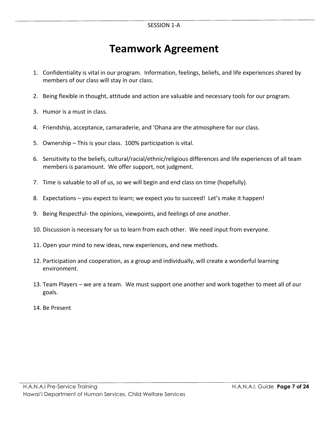### **Teamwork Agreement**

- 1. Confidentiality is vital in our program. Information, feelings, beliefs, and life experiences shared by members of our class will stay in our class.
- 2. Being flexible in thought, attitude and action are valuable and necessary tools for our program.
- 3. Humor is a must in class.
- 4. Friendship, acceptance, camaraderie, and 'Ohana are the atmosphere for our class.
- 5. Ownership This is your class. 100% participation is vital.
- 6. Sensitivity to the beliefs, cultural/racial/ethnic/religious differences and life experiences of all team members is paramount. We offer support, not judgment.
- 7. Time is valuable to all of us, so we will begin and end class on time (hopefully).
- 8. Expectations you expect to learn; we expect you to succeed! Let's make it happen!
- 9. Being Respectful- the opinions, viewpoints, and feelings of one another.
- 10. Discussion is necessary for us to learn from each other. We need input from everyone.
- 11. Open your mind to new ideas, new experiences, and new methods.
- 12. Participation and cooperation, as a group and individually, will create a wonderful learning environment.
- 13. Team Players we are a team. We must support one another and work together to meet all of our goals.
- 14. Be Present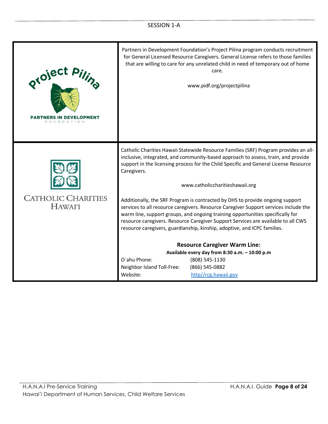#### SESSION 1-A

| <b>Q<sup>YOJECT Piling</sup></b><br><b>IN DEVELOPMENT</b><br>OUNDATION |                                                                                                                                                                                                                                                                                                                                                                                                                          | Partners in Development Foundation's Project Pilina program conducts recruitment<br>for General Licensed Resource Caregivers. General License refers to those families<br>that are willing to care for any unrelated child in need of temporary out of home<br>care.<br>www.pidf.org/projectpilina   |
|------------------------------------------------------------------------|--------------------------------------------------------------------------------------------------------------------------------------------------------------------------------------------------------------------------------------------------------------------------------------------------------------------------------------------------------------------------------------------------------------------------|------------------------------------------------------------------------------------------------------------------------------------------------------------------------------------------------------------------------------------------------------------------------------------------------------|
|                                                                        | Caregivers.                                                                                                                                                                                                                                                                                                                                                                                                              | Catholic Charities Hawaii Statewide Resource Families (SRF) Program provides an all-<br>inclusive, integrated, and community-based approach to assess, train, and provide<br>support in the licensing process for the Child Specific and General License Resource<br>www.catholiccharitieshawaii.org |
| <b>CATHOLIC CHARITIES</b><br><b>HAWAI'I</b>                            | Additionally, the SRF Program is contracted by DHS to provide ongoing support<br>services to all resource caregivers. Resource Caregiver Support services include the<br>warm line, support groups, and ongoing training opportunities specifically for<br>resource caregivers. Resource Caregiver Support Services are available to all CWS<br>resource caregivers, guardianship, kinship, adoptive, and ICPC families. |                                                                                                                                                                                                                                                                                                      |
|                                                                        | <b>Resource Caregiver Warm Line:</b>                                                                                                                                                                                                                                                                                                                                                                                     |                                                                                                                                                                                                                                                                                                      |
|                                                                        | Available every day from 8:30 a.m. - 10:00 p.m<br>O'ahu Phone:<br>(808) 545-1130                                                                                                                                                                                                                                                                                                                                         |                                                                                                                                                                                                                                                                                                      |
|                                                                        | Neighbor Island Toll-Free:                                                                                                                                                                                                                                                                                                                                                                                               | (866) 545-0882                                                                                                                                                                                                                                                                                       |
|                                                                        | Website:                                                                                                                                                                                                                                                                                                                                                                                                                 | http//rcg.hawaii.gov                                                                                                                                                                                                                                                                                 |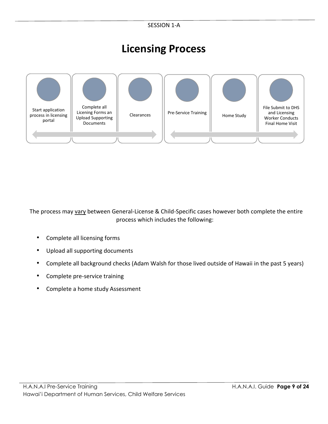### **Licensing Process**



The process may vary between General-License & Child-Specific cases however both complete the entire process which includes the following:

- Complete all licensing forms
- Upload all supporting documents
- Complete all background checks (Adam Walsh for those lived outside of Hawaii in the past 5 years)
- Complete pre-service training
- Complete a home study Assessment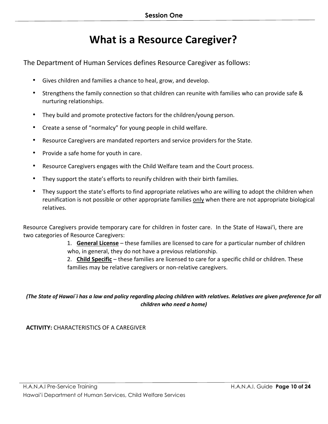### **What is a Resource Caregiver?**

The Department of Human Services defines Resource Caregiver as follows:

- Gives children and families a chance to heal, grow, and develop.
- Strengthens the family connection so that children can reunite with families who can provide safe & nurturing relationships.
- They build and promote protective factors for the children/young person.
- Create a sense of "normalcy" for young people in child welfare.
- Resource Caregivers are mandated reporters and service providers for the State.
- Provide a safe home for youth in care.
- Resource Caregivers engages with the Child Welfare team and the Court process.
- They support the state's efforts to reunify children with their birth families.
- They support the state's efforts to find appropriate relatives who are willing to adopt the children when reunification is not possible or other appropriate families only when there are not appropriate biological relatives.

Resource Caregivers provide temporary care for children in foster care. In the State of Hawai'i, there are two categories of Resource Caregivers:

> 1. **General License** – these families are licensed to care for a particular number of children who, in general, they do not have a previous relationship.

2. **Child Specific** – these families are licensed to care for a specific child or children. These families may be relative caregivers or non-relative caregivers.

#### *(The State of Hawai`i has a law and policy regarding placing children with relatives. Relatives are given preference for all children who need a home)*

**ACTIVITY:** CHARACTERISTICS OF A CAREGIVER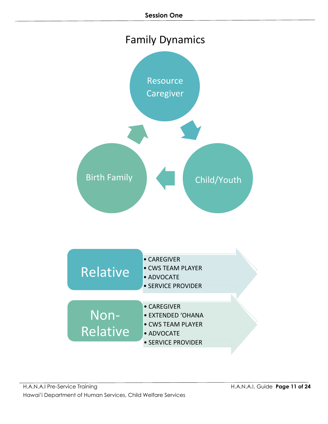

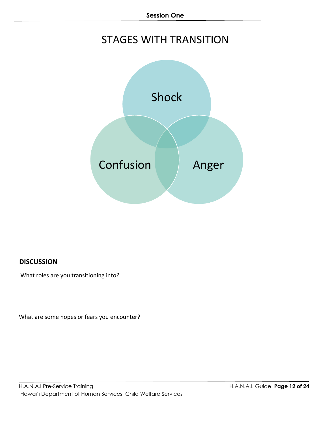### STAGES WITH TRANSITION



#### **DISCUSSION**

What roles are you transitioning into?

What are some hopes or fears you encounter?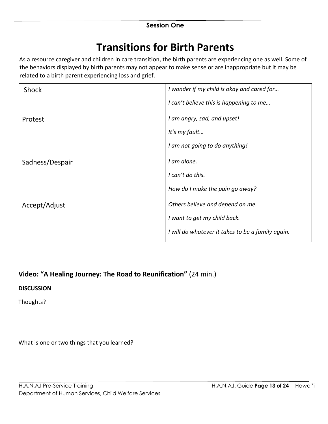### **Transitions for Birth Parents**

As a resource caregiver and children in care transition, the birth parents are experiencing one as well. Some of the behaviors displayed by birth parents may not appear to make sense or are inappropriate but it may be related to a birth parent experiencing loss and grief.

| <b>Shock</b>    | I wonder if my child is okay and cared for        |
|-----------------|---------------------------------------------------|
|                 | I can't believe this is happening to me           |
| Protest         | I am angry, sad, and upset!                       |
|                 | It's my fault                                     |
|                 | I am not going to do anything!                    |
| Sadness/Despair | I am alone.                                       |
|                 | I can't do this.                                  |
|                 | How do I make the pain go away?                   |
| Accept/Adjust   | Others believe and depend on me.                  |
|                 | I want to get my child back.                      |
|                 | I will do whatever it takes to be a family again. |

### **Video: "A Healing Journey: The Road to Reunification"** (24 min.)

#### **DISCUSSION**

Thoughts?

What is one or two things that you learned?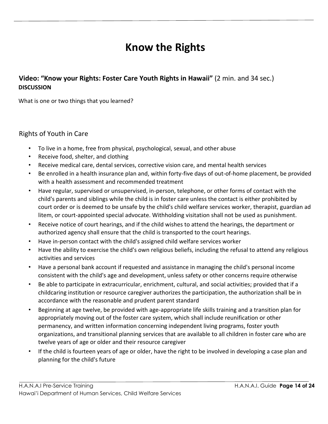### **Know the Rights**

#### **Video: "Know your Rights: Foster Care Youth Rights in Hawaii"** (2 min. and 34 sec.) **DISCUSSION**

What is one or two things that you learned?

#### Rights of Youth in Care

- To live in a home, free from physical, psychological, sexual, and other abuse
- Receive food, shelter, and clothing
- Receive medical care, dental services, corrective vision care, and mental health services
- Be enrolled in a health insurance plan and, within forty-five days of out-of-home placement, be provided with a health assessment and recommended treatment
- Have regular, supervised or unsupervised, in-person, telephone, or other forms of contact with the child's parents and siblings while the child is in foster care unless the contact is either prohibited by court order or is deemed to be unsafe by the child's child welfare services worker, therapist, guardian ad litem, or court-appointed special advocate. Withholding visitation shall not be used as punishment.
- Receive notice of court hearings, and if the child wishes to attend the hearings, the department or authorized agency shall ensure that the child is transported to the court hearings.
- Have in-person contact with the child's assigned child welfare services worker
- Have the ability to exercise the child's own religious beliefs, including the refusal to attend any religious activities and services
- Have a personal bank account if requested and assistance in managing the child's personal income consistent with the child's age and development, unless safety or other concerns require otherwise
- Be able to participate in extracurricular, enrichment, cultural, and social activities; provided that if a childcaring institution or resource caregiver authorizes the participation, the authorization shall be in accordance with the reasonable and prudent parent standard
- Beginning at age twelve, be provided with age-appropriate life skills training and a transition plan for appropriately moving out of the foster care system, which shall include reunification or other permanency, and written information concerning independent living programs, foster youth organizations, and transitional planning services that are available to all children in foster care who are twelve years of age or older and their resource caregiver
- If the child is fourteen years of age or older, have the right to be involved in developing a case plan and planning for the child's future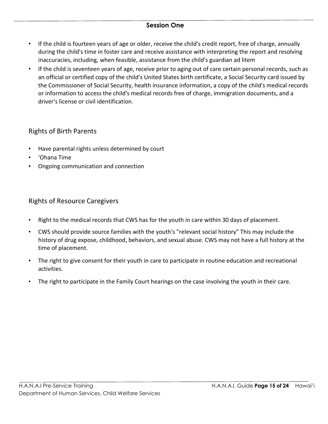#### **Session One**

- If the child is fourteen years of age or older, receive the child's credit report, free of charge, annually during the child's time in foster care and receive assistance with interpreting the report and resolving inaccuracies, including, when feasible, assistance from the child's guardian ad litem
- If the child is seventeen years of age, receive prior to aging out of care certain personal records, such as an official or certified copy of the child's United States birth certificate, a Social Security card issued by the Commissioner of Social Security, health insurance information, a copy of the child's medical records or information to access the child's medical records free of charge, immigration documents, and a driver's license or civil identification.

#### Rights of Birth Parents

- Have parental rights unless determined by court
- 'Ohana Time
- Ongoing communication and connection

#### Rights of Resource Caregivers

- Right to the medical records that CWS has for the youth in care within 30 days of placement.
- CWS should provide source families with the youth's "relevant social history" This may include the history of drug expose, childhood, behaviors, and sexual abuse. CWS may not have a full history at the time of placement.
- The right to give consent for their youth in care to participate in routine education and recreational activities.
- The right to participate in the Family Court hearings on the case involving the youth in their care.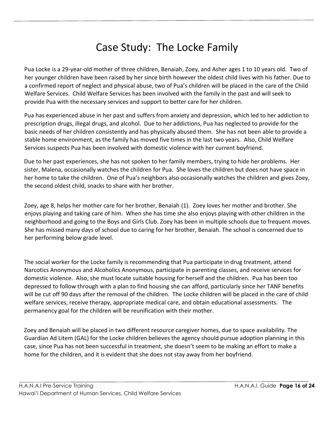### Case Study: The Locke Family

Pua Locke is a 29-year-old mother of three children, Benaiah, Zoey, and Asher ages 1 to 10 years old. Two of her younger children have been raised by her since birth however the oldest child lives with his father. Due to a confirmed report of neglect and physical abuse, two of Pua's children will be placed in the care of the Child Welfare Services. Child Welfare Services has been involved with the family in the past and will seek to provide Pua with the necessary services and support to better care for her children.

Pua has experienced abuse in her past and suffers from anxiety and depression, which led to her addiction to prescription drugs, illegal drugs, and alcohol. Due to her addictions, Pua has neglected to provide for the basic needs of her children consistently and has physically abused them. She has not been able to provide a stable home environment, as the family has moved five times in the last two years. Also, Child Welfare Services suspects Pua has been involved with domestic violence with her current boyfriend.

Due to her past experiences, she has not spoken to her family members, trying to hide her problems. Her sister, Malena, occasionally watches the children for Pua. She loves the children but does not have space in her home to take the children. One of Pua's neighbors also occasionally watches the children and gives Zoey, the second oldest child, snacks to share with her brother.

Zoey, age 8, helps her mother care for her brother, Benaiah (1). Zoey loves her mother and brother. She enjoys playing and taking care of him. When she has time she also enjoys playing with other children in the neighborhood and going to the Boys and Girls Club. Zoey has been in multiple schools due to frequent moves. She has missed many days of school due to caring for her brother, Benaiah. The school is concerned due to her performing below grade level.

The social worker for the Locke family is recommending that Pua participate in drug treatment, attend Narcotics Anonymous and Alcoholics Anonymous, participate in parenting classes, and receive services for domestic violence. Also, she must locate suitable housing for herself and the children. Pua has been too depressed to follow through with a plan to find housing she can afford, particularly since her TANF benefits will be cut off 90 days after the removal of the children. The Locke children will be placed in the care of child welfare services, receive therapy, appropriate medical care, and obtain educational assessments. The permanency goal for the children will be reunification with their mother.

Zoey and Benaiah will be placed in two different resource caregiver homes, due to space availability. The Guardian Ad Litem (GAL) for the Locke children believes the agency should pursue adoption planning in this case, since Pua has not been successful in treatment, she doesn't seem to be making an effort to make a home for the children, and it is evident that she does not stay away from her boyfriend.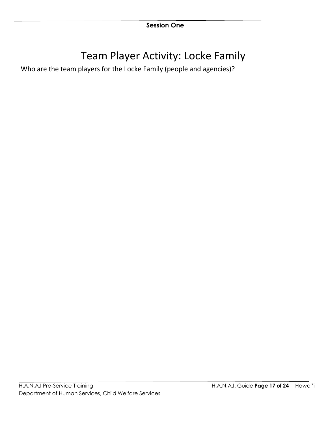## Team Player Activity: Locke Family

Who are the team players for the Locke Family (people and agencies)?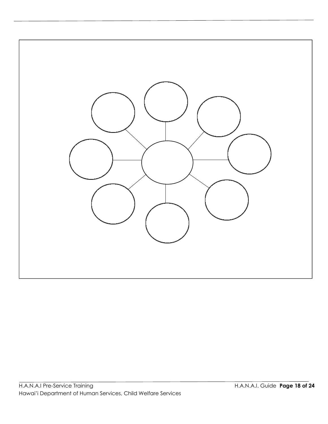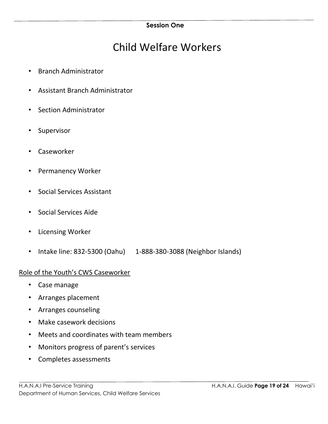### Child Welfare Workers

- Branch Administrator
- Assistant Branch Administrator
- Section Administrator
- Supervisor
- Caseworker
- Permanency Worker
- Social Services Assistant
- Social Services Aide
- Licensing Worker
- Intake line: 832-5300 (Oahu) 1-888-380-3088 (Neighbor Islands)

#### Role of the Youth's CWS Caseworker

- Case manage
- Arranges placement
- Arranges counseling
- Make casework decisions
- Meets and coordinates with team members
- Monitors progress of parent's services
- Completes assessments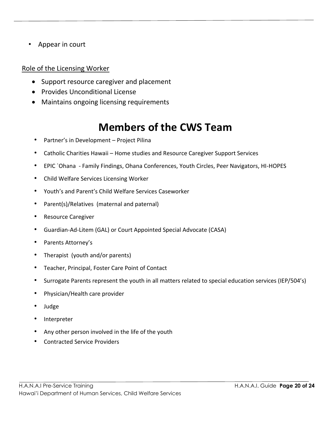• Appear in court

Role of the Licensing Worker

- Support resource caregiver and placement
- Provides Unconditional License
- Maintains ongoing licensing requirements

### **Members of the CWS Team**

- Partner's in Development Project Pilina
- Catholic Charities Hawaii Home studies and Resource Caregiver Support Services
- EPIC `Ohana Family Findings, Ohana Conferences, Youth Circles, Peer Navigators, HI-HOPES
- Child Welfare Services Licensing Worker
- Youth's and Parent's Child Welfare Services Caseworker
- Parent(s)/Relatives (maternal and paternal)
- Resource Caregiver
- Guardian-Ad-Litem (GAL) or Court Appointed Special Advocate (CASA)
- Parents Attorney's
- Therapist (youth and/or parents)
- Teacher, Principal, Foster Care Point of Contact
- Surrogate Parents represent the youth in all matters related to special education services (IEP/504's)
- Physician/Health care provider
- Judge
- **Interpreter**
- Any other person involved in the life of the youth
- Contracted Service Providers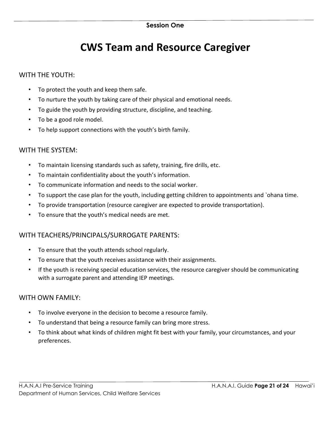#### **Session One**

### **CWS Team and Resource Caregiver**

#### WITH THE YOUTH:

- To protect the youth and keep them safe.
- To nurture the youth by taking care of their physical and emotional needs.
- To guide the youth by providing structure, discipline, and teaching.
- To be a good role model.
- To help support connections with the youth's birth family.

#### WITH THE SYSTEM:

- To maintain licensing standards such as safety, training, fire drills, etc.
- To maintain confidentiality about the youth's information.
- To communicate information and needs to the social worker.
- To support the case plan for the youth, including getting children to appointments and `ohana time.
- To provide transportation (resource caregiver are expected to provide transportation).
- To ensure that the youth's medical needs are met.

#### WITH TEACHERS/PRINCIPALS/SURROGATE PARENTS:

- To ensure that the youth attends school regularly.
- To ensure that the youth receives assistance with their assignments.
- If the youth is receiving special education services, the resource caregiver should be communicating with a surrogate parent and attending IEP meetings.

#### WITH OWN FAMILY:

- To involve everyone in the decision to become a resource family.
- To understand that being a resource family can bring more stress.
- To think about what kinds of children might fit best with your family, your circumstances, and your preferences.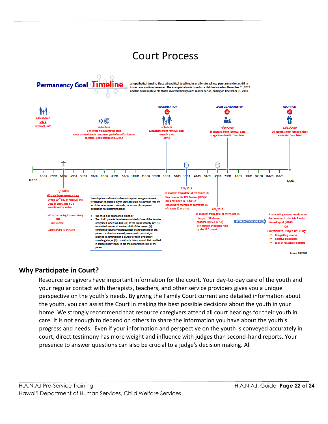

#### **Why Participate in Court?**

Resource caregivers have important information for the court. Your day-to-day care of the youth and your regular contact with therapists, teachers, and other service providers gives you a unique perspective on the youth's needs. By giving the Family Court current and detailed information about the youth, you can assist the Court in making the best possible decisions about the youth in your home. We strongly recommend that resource caregivers attend all court hearings for their youth in care. It is not enough to depend on others to share the information you have about the youth's progress and needs. Even if your information and perspective on the youth is conveyed accurately in court, direct testimony has more weight and influence with judges than second-hand reports. Your presence to answer questions can also be crucial to a judge's decision making. All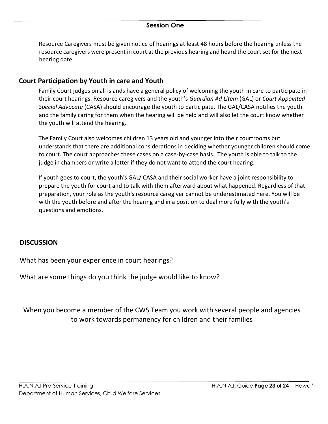#### **Session One**

Resource Caregivers must be given notice of hearings at least 48 hours before the hearing unless the resource caregivers were present in court at the previous hearing and heard the court set for the next hearing date.

#### **Court Participation by Youth in care and Youth**

Family Court judges on all islands have a general policy of welcoming the youth in care to participate in their court hearings. Resource caregivers and the youth's *Guardian Ad Litem* (GAL) or *Court Appointed Special Advocate* (CASA) should encourage the youth to participate. The GAL/CASA notifies the youth and the family caring for them when the hearing will be held and will also let the court know whether the youth will attend the hearing.

The Family Court also welcomes children 13 years old and younger into their courtrooms but understands that there are additional considerations in deciding whether younger children should come to court. The court approaches these cases on a case-by-case basis. The youth is able to talk to the judge in chambers or write a letter if they do not want to attend the court hearing.

If youth goes to court, the youth's GAL/ CASA and their social worker have a joint responsibility to prepare the youth for court and to talk with them afterward about what happened. Regardless of that preparation, your role as the youth's resource caregiver cannot be underestimated here. You will be with the youth before and after the hearing and in a position to deal more fully with the youth's questions and emotions.

#### **DISCUSSION**

What has been your experience in court hearings?

What are some things do you think the judge would like to know?

When you become a member of the CWS Team you work with several people and agencies to work towards permanency for children and their families